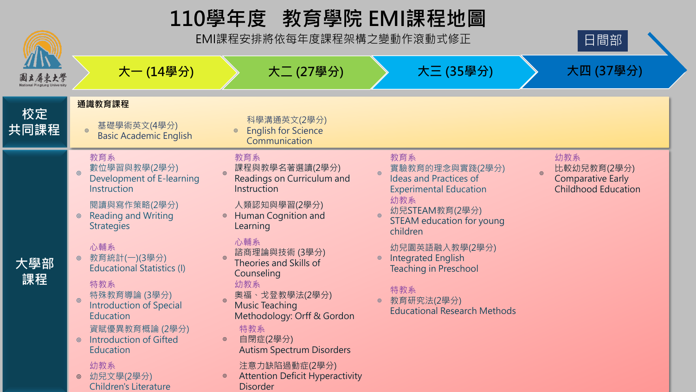# **110學年度 教育學院 EMI課程地圖**

EMI課程安排將依每年度課程架構之變動作滾動式修正



**大一 (14學分) 大二 (27學分) 大三 (35學分) 大四 (37學分)**

Children's Literature



| 國立屏東大學     | ╱╲ <b>\</b> ┴▔' <del>ゴ</del> `ノJ丿                                             | ノヽ―― ヽ(∠ ノ っナー ノJ ノ                                                         | ノヽ—— (ソソ <del>ナ</del> ノJ /                                                               | ╭ ヽ━┓ <b>、</b> ┙ <i>╹</i> つ ̄ ノJ ノ                                           |
|------------|-------------------------------------------------------------------------------|-----------------------------------------------------------------------------|------------------------------------------------------------------------------------------|------------------------------------------------------------------------------|
|            | 通識教育課程                                                                        |                                                                             |                                                                                          |                                                                              |
| 校定<br>共同課程 | 基礎學術英文(4學分)<br><b>Basic Academic English</b>                                  | 科學溝通英文(2學分)<br><b>English for Science</b><br>Communication                  |                                                                                          |                                                                              |
| 大學部<br>課程  | 教育系<br>數位學習與教學(2學分)<br>$\odot$<br>Development of E-learning<br>Instruction    | 教育系<br>課程與教學名著選讀(2學分)<br>Readings on Curriculum and<br>Instruction          | 教育系<br>實驗教育的理念與實踐(2學分)<br><b>Ideas and Practices of</b><br><b>Experimental Education</b> | 幼教系<br>比較幼兒教育(2學分)<br><b>Comparative Early</b><br><b>Childhood Education</b> |
|            | 閱讀與寫作策略(2學分)<br><b>Reading and Writing</b><br><b>Strategies</b>               | 人類認知與學習(2學分)<br>Human Cognition and<br>Learning                             | 幼教系<br>幼兒STEAM教育(2學分)<br>STEAM education for young<br>children                           |                                                                              |
|            | 心輔系<br>教育統計(一)(3學分)<br>$\odot$<br><b>Educational Statistics (I)</b>           | 心輔系<br>諮商理論與技術 (3學分)<br>Theories and Skills of<br>Counseling                | 幼兒園英語融入教學(2學分)<br><b>Integrated English</b><br><b>Teaching in Preschool</b>              |                                                                              |
|            | 特教系<br>特殊教育導論 (3學分)<br>$\odot$<br><b>Introduction of Special</b><br>Education | 幼教系<br>奧福、戈登教學法(2學分)<br><b>Music Teaching</b><br>Methodology: Orff & Gordon | 特教系<br>教育研究法(2學分)<br><b>Educational Research Methods</b>                                 |                                                                              |
|            | 資賦優異教育概論 (2學分)<br><b>Introduction of Gifted</b><br>$\odot$<br>Education       | 特教系<br>自閉症(2學分)<br>$\circledcirc$<br><b>Autism Spectrum Disorders</b>       |                                                                                          |                                                                              |
|            | 幼教系<br>幼兒文學(2學分)<br>$\circledcirc$                                            | 注意力缺陷過動症(2學分)<br><b>Attention Deficit Hyperactivity</b>                     |                                                                                          |                                                                              |

Disorder